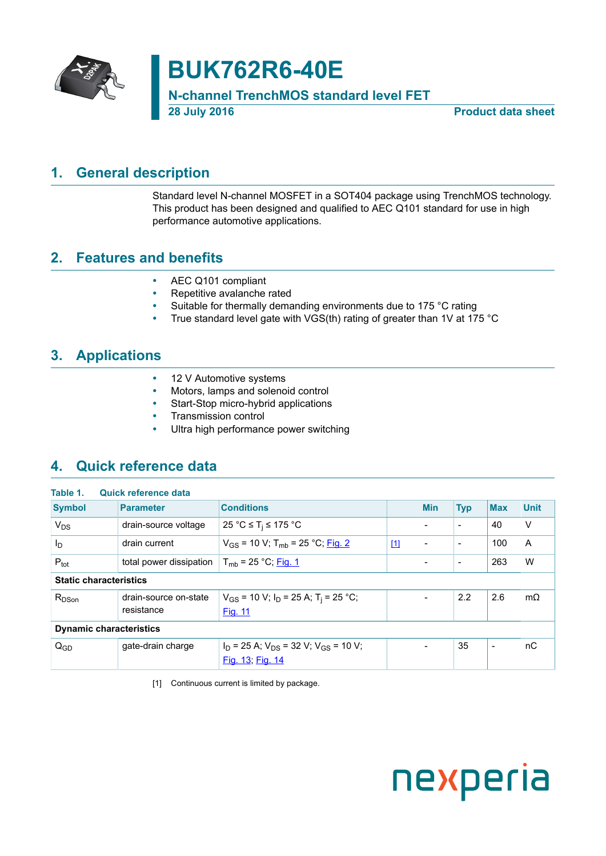

## **BUK762R6-40E**

**N-channel TrenchMOS standard level FET 28 July 2016 Product data sheet**

#### **1. General description**

<span id="page-0-1"></span><span id="page-0-0"></span>Standard level N-channel MOSFET in a SOT404 package using TrenchMOS technology. This product has been designed and qualified to AEC Q101 standard for use in high performance automotive applications.

#### **2. Features and benefits**

- <span id="page-0-2"></span>• AEC Q101 compliant
- Repetitive avalanche rated
- Suitable for thermally demanding environments due to 175 °C rating
- True standard level gate with VGS(th) rating of greater than 1V at 175 °C

### **3. Applications**

- <span id="page-0-3"></span>• 12 V Automotive systems
- Motors, lamps and solenoid control<br>• Start-Stop micro-hybrid applications
- Start-Stop micro-hybrid applications
- Transmission control
- <span id="page-0-4"></span>• Ultra high performance power switching

## **4. Quick reference data**

| Table 1.<br>Quick reference data |                                     |                                                                                   |             |                          |                          |                |             |  |
|----------------------------------|-------------------------------------|-----------------------------------------------------------------------------------|-------------|--------------------------|--------------------------|----------------|-------------|--|
| <b>Symbol</b>                    | <b>Parameter</b>                    | <b>Conditions</b>                                                                 |             | <b>Min</b>               | <b>Typ</b>               | <b>Max</b>     | <b>Unit</b> |  |
| $V_{DS}$                         | drain-source voltage                | 25 °C $\leq$ T <sub>i</sub> $\leq$ 175 °C                                         |             | $\overline{\phantom{a}}$ | $\blacksquare$           | 40             | $\vee$      |  |
| Ι <sub>D</sub>                   | drain current                       | $V_{GS}$ = 10 V; T <sub>mb</sub> = 25 °C; Fig. 2                                  | $\boxed{1}$ | $\overline{\phantom{a}}$ | $\blacksquare$           | 100            | A           |  |
| $P_{\text{tot}}$                 | total power dissipation             | $T_{mb}$ = 25 °C; <u>Fig. 1</u>                                                   |             | $\overline{\phantom{a}}$ | $\overline{\phantom{a}}$ | 263            | W           |  |
|                                  | <b>Static characteristics</b>       |                                                                                   |             |                          |                          |                |             |  |
| $R_{DSon}$                       | drain-source on-state<br>resistance | $V_{GS}$ = 10 V; I <sub>D</sub> = 25 A; T <sub>i</sub> = 25 °C;<br><b>Fig. 11</b> |             |                          | 2.2                      | 2.6            | $m\Omega$   |  |
| <b>Dynamic characteristics</b>   |                                     |                                                                                   |             |                          |                          |                |             |  |
| $Q_{GD}$                         | gate-drain charge                   | $I_D$ = 25 A; $V_{DS}$ = 32 V; $V_{GS}$ = 10 V;<br>Fig. 13; Fig. 14               |             |                          | 35                       | $\blacksquare$ | nC          |  |

[1] Continuous current is limited by package.

# nexperia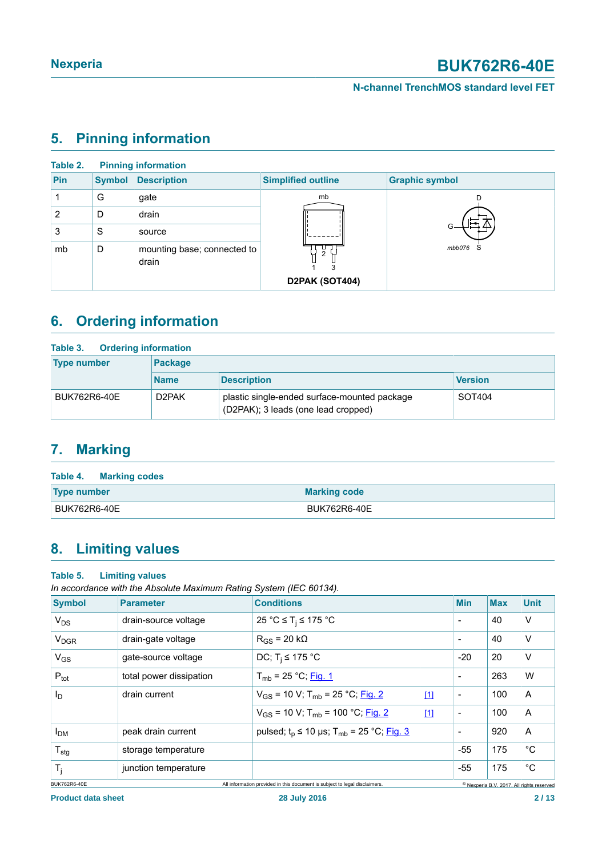#### **N-channel TrenchMOS standard level FET**

## <span id="page-1-0"></span>**5. Pinning information**

| Table 2. |               | <b>Pinning information</b>           |                                            |                       |
|----------|---------------|--------------------------------------|--------------------------------------------|-----------------------|
| Pin      | <b>Symbol</b> | <b>Description</b>                   | <b>Simplified outline</b>                  | <b>Graphic symbol</b> |
|          | G             | gate                                 | mb                                         |                       |
| 2        | D             | drain                                |                                            | ⊢                     |
| 3        | S             | source                               |                                            | G.                    |
| mb       | D             | mounting base; connected to<br>drain | ப<br>$\overline{2}$<br>3<br>D2PAK (SOT404) | mbb076 S              |

## <span id="page-1-1"></span>**6. Ordering information**

| <b>Ordering information</b><br>Table 3. |                    |                                                                                     |                |  |  |  |
|-----------------------------------------|--------------------|-------------------------------------------------------------------------------------|----------------|--|--|--|
| <b>Type number</b>                      | <b>Package</b>     |                                                                                     |                |  |  |  |
|                                         | <b>Name</b>        | <b>Description</b>                                                                  | <b>Version</b> |  |  |  |
| BUK762R6-40E                            | D <sub>2</sub> PAK | plastic single-ended surface-mounted package<br>(D2PAK); 3 leads (one lead cropped) | SOT404         |  |  |  |

## <span id="page-1-2"></span>**7. Marking**

| Table 4. Marking codes |                     |
|------------------------|---------------------|
| <b>Type number</b>     | <b>Marking code</b> |
| BUK762R6-40E           | BUK762R6-40E        |

## <span id="page-1-3"></span>**8. Limiting values**

#### **Table 5. Limiting values**

*In accordance with the Absolute Maximum Rating System (IEC 60134).*

| <b>Symbol</b>          | <b>Parameter</b>                                                                                                        | <b>Conditions</b>                                               |             | <b>Min</b>               | <b>Max</b> | <b>Unit</b>  |
|------------------------|-------------------------------------------------------------------------------------------------------------------------|-----------------------------------------------------------------|-------------|--------------------------|------------|--------------|
| $V_{DS}$               | drain-source voltage                                                                                                    | 25 °C ≤ T <sub>i</sub> ≤ 175 °C                                 |             | $\overline{\phantom{a}}$ | 40         | $\vee$       |
| <b>V<sub>DGR</sub></b> | drain-gate voltage                                                                                                      | $R_{GS}$ = 20 k $\Omega$                                        |             | $\blacksquare$           | 40         | $\vee$       |
| $V_{GS}$               | gate-source voltage                                                                                                     | DC; $T_i \leq 175$ °C                                           |             | $-20$                    | 20         | $\vee$       |
| $P_{\text{tot}}$       | total power dissipation                                                                                                 | $T_{\rm mb}$ = 25 °C; Fig. 1                                    |             | $\overline{a}$           | 263        | W            |
| In                     | drain current                                                                                                           | $V_{GS}$ = 10 V; T <sub>mb</sub> = 25 °C; Fig. 2                | $\boxed{1}$ | $\overline{\phantom{a}}$ | 100        | A            |
|                        |                                                                                                                         | $V_{GS}$ = 10 V; T <sub>mb</sub> = 100 °C; Fig. 2               | $[1]$       | $\overline{\phantom{a}}$ | 100        | A            |
| <b>I<sub>DM</sub></b>  | peak drain current                                                                                                      | pulsed; $t_p \le 10$ µs; T <sub>mb</sub> = 25 °C; <u>Fig. 3</u> |             | $\blacksquare$           | 920        | A            |
| $T_{\text{stg}}$       | storage temperature                                                                                                     |                                                                 |             | -55                      | 175        | $^{\circ}C$  |
| $T_i$                  | junction temperature                                                                                                    |                                                                 |             | -55                      | 175        | $^{\circ}$ C |
| <b>BUK762R6-40E</b>    | All information provided in this document is subject to legal disclaimers.<br>© Nexperia B.V. 2017. All rights reserved |                                                                 |             |                          |            |              |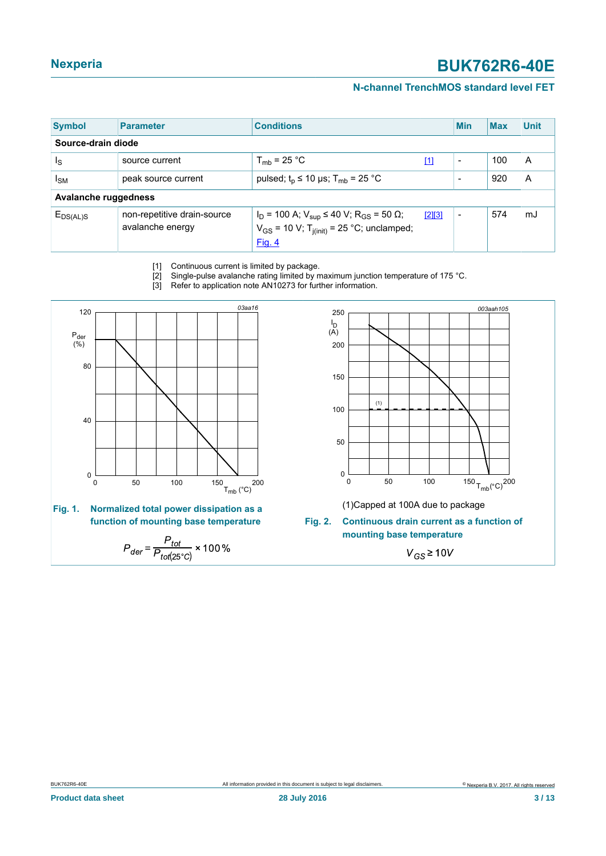#### **N-channel TrenchMOS standard level FET**

<span id="page-2-2"></span>

| <b>Symbol</b>        | <b>Parameter</b>                                | <b>Conditions</b>                                                                                                                     |             | <b>Min</b>               | <b>Max</b> | <b>Unit</b> |  |
|----------------------|-------------------------------------------------|---------------------------------------------------------------------------------------------------------------------------------------|-------------|--------------------------|------------|-------------|--|
| Source-drain diode   |                                                 |                                                                                                                                       |             |                          |            |             |  |
| $I_{\rm S}$          | source current                                  | $T_{\text{mb}}$ = 25 °C                                                                                                               | 凹           | $\overline{\phantom{a}}$ | 100        | A           |  |
| Isм                  | peak source current                             | pulsed; $t_o \le 10 \text{ }\mu\text{s}$ ; T <sub>mb</sub> = 25 °C                                                                    |             | $\overline{\phantom{a}}$ | 920        | A           |  |
| Avalanche ruggedness |                                                 |                                                                                                                                       |             |                          |            |             |  |
| $E_{DS(AL)S}$        | non-repetitive drain-source<br>avalanche energy | $ID$ = 100 A; V <sub>sup</sub> ≤ 40 V; R <sub>GS</sub> = 50 Ω;<br>$V_{GS}$ = 10 V; T <sub>i(init)</sub> = 25 °C; unclamped;<br>Fig. 4 | $[2]$ $[3]$ | $\overline{\phantom{0}}$ | 574        | mJ          |  |

[1] Continuous current is limited by package.

[2] Single-pulse avalanche rating limited by maximum junction temperature of 175 °C.<br>[3] Refer to application note AN10273 for further information.

Refer to application note AN10273 for further information.

<span id="page-2-1"></span>

**Fig. 1. Normalized total power dissipation as a function of mounting base temperature**

$$
P_{der} = \frac{P_{tot}}{P_{tot(25^{\circ}C)}} \times 100\%
$$

<span id="page-2-0"></span>

**mounting base temperature**

 $V_{GS} \ge 10V$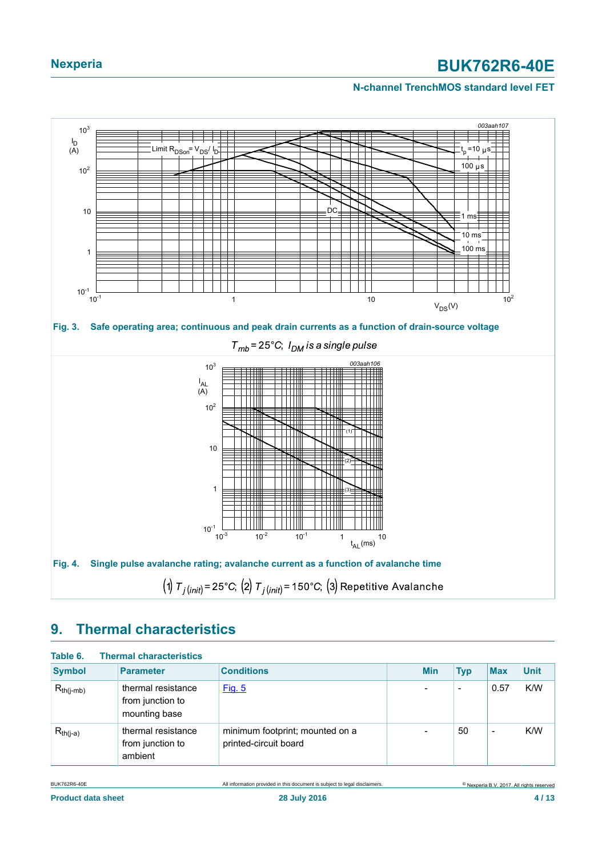#### **N-channel TrenchMOS standard level FET**

<span id="page-3-1"></span><span id="page-3-0"></span>

### <span id="page-3-2"></span>**9. Thermal characteristics**

| Table 6.       | <b>Thermal characteristics</b>                          |                                                          |  |                          |                          |                          |             |
|----------------|---------------------------------------------------------|----------------------------------------------------------|--|--------------------------|--------------------------|--------------------------|-------------|
| <b>Symbol</b>  | <b>Parameter</b>                                        | <b>Conditions</b>                                        |  | <b>Min</b>               | <b>Typ</b>               | <b>Max</b>               | <b>Unit</b> |
| $R_{th(i-mb)}$ | thermal resistance<br>from junction to<br>mounting base | Fig. 5                                                   |  | $\overline{\phantom{a}}$ | $\overline{\phantom{a}}$ | 0.57                     | K/W         |
| $R_{th(j-a)}$  | thermal resistance<br>from junction to<br>ambient       | minimum footprint; mounted on a<br>printed-circuit board |  | $\overline{\phantom{0}}$ | 50                       | $\overline{\phantom{a}}$ | K/W         |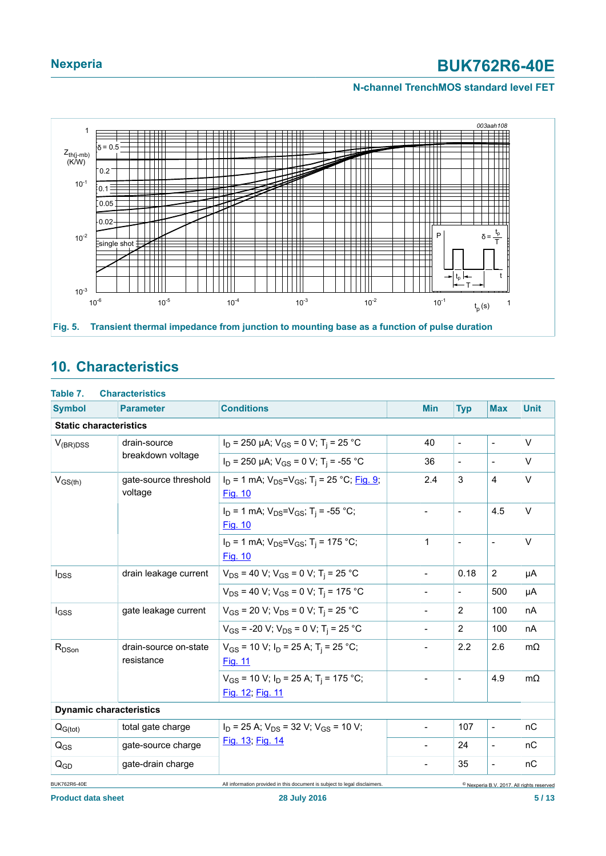#### **N-channel TrenchMOS standard level FET**

<span id="page-4-0"></span>

## <span id="page-4-1"></span>**10. Characteristics**

| <b>Symbol</b>                                    | <b>Parameter</b>                                                                    | <b>Conditions</b>                                                            | <b>Min</b>               | <b>Typ</b>               | <b>Max</b>                   | <b>Unit</b> |
|--------------------------------------------------|-------------------------------------------------------------------------------------|------------------------------------------------------------------------------|--------------------------|--------------------------|------------------------------|-------------|
| <b>Static characteristics</b>                    |                                                                                     |                                                                              |                          |                          |                              |             |
| $V_{(BR)DSS}$                                    | drain-source                                                                        | $I_D$ = 250 µA; $V_{GS}$ = 0 V; T <sub>i</sub> = 25 °C                       | 40                       | $\frac{1}{2}$            | $\overline{\phantom{0}}$     | $\vee$      |
|                                                  | breakdown voltage                                                                   | $I_D$ = 250 µA; $V_{GS}$ = 0 V; T <sub>i</sub> = -55 °C                      | 36                       | $\frac{1}{2}$            |                              | $\vee$      |
| $V_{GS(th)}$<br>gate-source threshold<br>voltage | $I_D$ = 1 mA; $V_{DS} = V_{GS}$ ; T <sub>i</sub> = 25 °C; Fig. 9;<br><b>Fig. 10</b> | 2.4                                                                          | 3                        | 4                        | $\vee$                       |             |
|                                                  |                                                                                     | $I_D = 1$ mA; $V_{DS} = V_{GS}$ ; T <sub>i</sub> = -55 °C;<br><b>Fig. 10</b> | ÷                        | ÷                        | 4.5                          | $\vee$      |
|                                                  |                                                                                     | $I_D = 1$ mA; $V_{DS} = V_{GS}$ ; T <sub>i</sub> = 175 °C;<br><b>Fig. 10</b> | $\mathbf 1$              | $\overline{a}$           | $\frac{1}{2}$                | $\vee$      |
| $I_{DSS}$                                        | drain leakage current                                                               | $V_{DS}$ = 40 V; V <sub>GS</sub> = 0 V; T <sub>i</sub> = 25 °C               | $\overline{a}$           | 0.18                     | $\overline{2}$               | μA          |
|                                                  | $V_{DS}$ = 40 V; V <sub>GS</sub> = 0 V; T <sub>i</sub> = 175 °C                     | $\overline{a}$                                                               | $\frac{1}{2}$            | 500                      | μA                           |             |
| l <sub>GSS</sub>                                 | gate leakage current                                                                | $V_{GS}$ = 20 V; $V_{DS}$ = 0 V; T <sub>i</sub> = 25 °C                      | $\overline{a}$           | 2                        | 100                          | nA          |
|                                                  |                                                                                     | $V_{GS}$ = -20 V; $V_{DS}$ = 0 V; T <sub>i</sub> = 25 °C                     | $\overline{a}$           | 2                        | 100                          | nA          |
| $R_{DSon}$                                       | drain-source on-state<br>resistance                                                 | $V_{GS}$ = 10 V; $I_D$ = 25 A; T <sub>i</sub> = 25 °C;<br>Fig. 11            | $\frac{1}{2}$            | 2.2                      | 2.6                          | $m\Omega$   |
|                                                  |                                                                                     | $V_{GS}$ = 10 V; $I_D$ = 25 A; T <sub>i</sub> = 175 °C;<br>Fig. 12; Fig. 11  | $\qquad \qquad -$        | $\overline{\phantom{a}}$ | 4.9                          | $m\Omega$   |
|                                                  | <b>Dynamic characteristics</b>                                                      |                                                                              |                          |                          |                              |             |
| $Q_{G(tot)}$                                     | total gate charge                                                                   | $I_D$ = 25 A; $V_{DS}$ = 32 V; $V_{GS}$ = 10 V;                              | $\frac{1}{2}$            | 107                      | $\qquad \qquad \blacksquare$ | nC          |
| $Q_{GS}$                                         | gate-source charge                                                                  | Fig. 13; Fig. 14                                                             |                          | 24                       | $\overline{a}$               | nC          |
| Q <sub>GD</sub>                                  | gate-drain charge                                                                   |                                                                              | $\overline{\phantom{0}}$ | 35                       | $\overline{\phantom{0}}$     | nC          |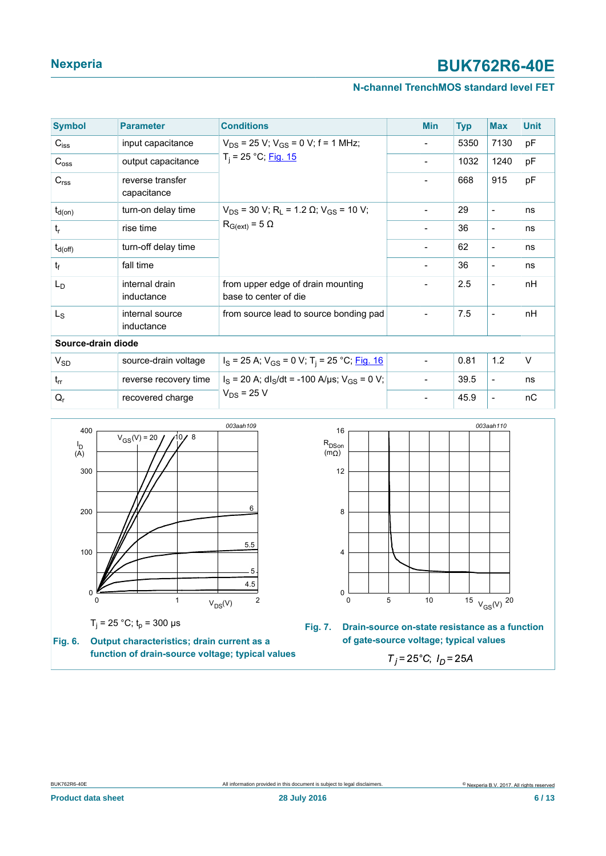#### **N-channel TrenchMOS standard level FET**

| <b>Symbol</b>       | <b>Parameter</b>                | <b>Conditions</b>                                                        | <b>Min</b>               | <b>Typ</b> | <b>Max</b>               | <b>Unit</b> |
|---------------------|---------------------------------|--------------------------------------------------------------------------|--------------------------|------------|--------------------------|-------------|
| $C_{iss}$           | input capacitance               | $V_{DS}$ = 25 V; V <sub>GS</sub> = 0 V; f = 1 MHz;                       |                          | 5350       | 7130                     | рF          |
| $C_{\rm{oss}}$      | output capacitance              | $T_i$ = 25 °C; Fig. 15                                                   |                          | 1032       | 1240                     | pF          |
| C <sub>rss</sub>    | reverse transfer<br>capacitance | $V_{DS}$ = 30 V; R <sub>1</sub> = 1.2 $\Omega$ ; V <sub>GS</sub> = 10 V; | $\blacksquare$           | 668        | 915                      | pF          |
| $t_{d(on)}$         | turn-on delay time              | $R_{G(ext)} = 5 \Omega$                                                  | $\overline{\phantom{a}}$ | 29         | $\overline{\phantom{a}}$ | ns          |
| $t_{\sf r}$         | rise time                       |                                                                          |                          | 36         | $\overline{\phantom{a}}$ | ns          |
| $t_{d(\text{off})}$ | turn-off delay time             |                                                                          |                          | 62         |                          | ns          |
| $t_{\rm f}$         | fall time                       |                                                                          | $\overline{\phantom{a}}$ | 36         | $\blacksquare$           | ns          |
| $L_{D}$             | internal drain<br>inductance    | from upper edge of drain mounting<br>base to center of die               | $\overline{\phantom{a}}$ | 2.5        | $\overline{\phantom{a}}$ | nH          |
| $L_{S}$             | internal source<br>inductance   | from source lead to source bonding pad                                   |                          | 7.5        | $\overline{a}$           | nH          |
| Source-drain diode  |                                 |                                                                          |                          |            |                          |             |
| $V_{SD}$            | source-drain voltage            | $I_S$ = 25 A; $V_{GS}$ = 0 V; T <sub>i</sub> = 25 °C; Fig. 16            | $\overline{\phantom{a}}$ | 0.81       | 1.2                      | V           |
| $t_{rr}$            | reverse recovery time           | $I_S$ = 20 A; dl <sub>S</sub> /dt = -100 A/µs; $V_{GS}$ = 0 V;           | $\blacksquare$           | 39.5       | $\overline{\phantom{0}}$ | ns          |
| $Q_{r}$             | recovered charge                | $V_{DS}$ = 25 V                                                          |                          | 45.9       | $\overline{\phantom{0}}$ | nC          |







 $T_j = 25^{\circ}C$ ;  $I_D = 25A$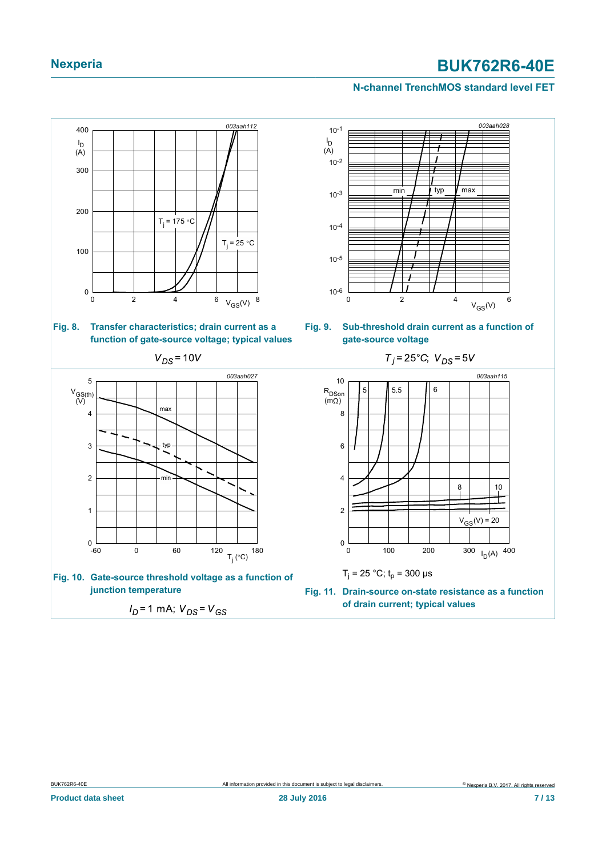#### <span id="page-6-1"></span><span id="page-6-0"></span>**N-channel TrenchMOS standard level FET**

<span id="page-6-2"></span>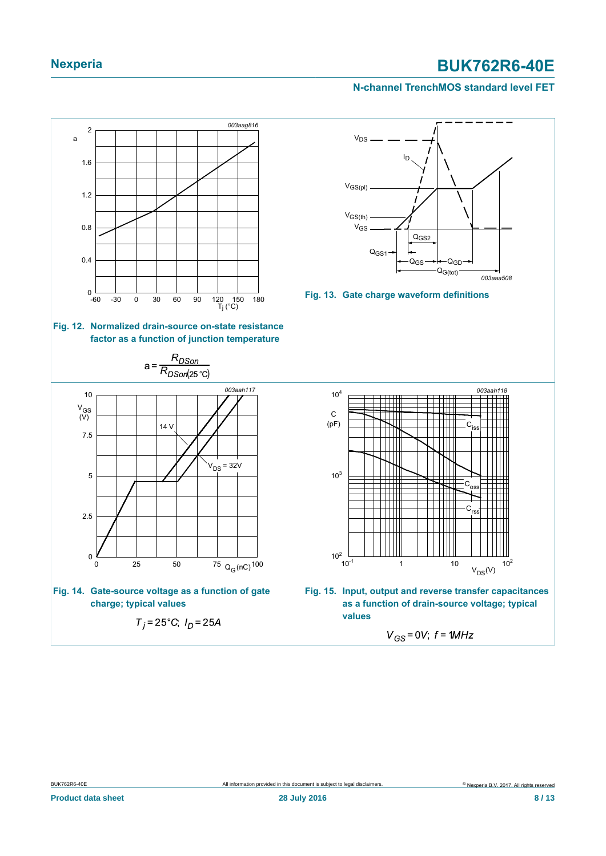#### <span id="page-7-3"></span><span id="page-7-0"></span>**N-channel TrenchMOS standard level FET**

<span id="page-7-2"></span><span id="page-7-1"></span>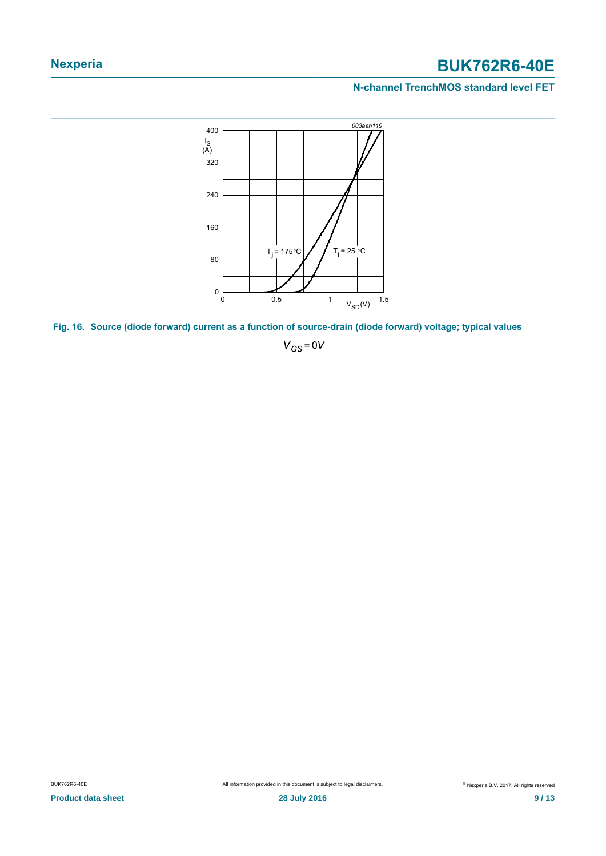#### **N-channel TrenchMOS standard level FET**

<span id="page-8-0"></span>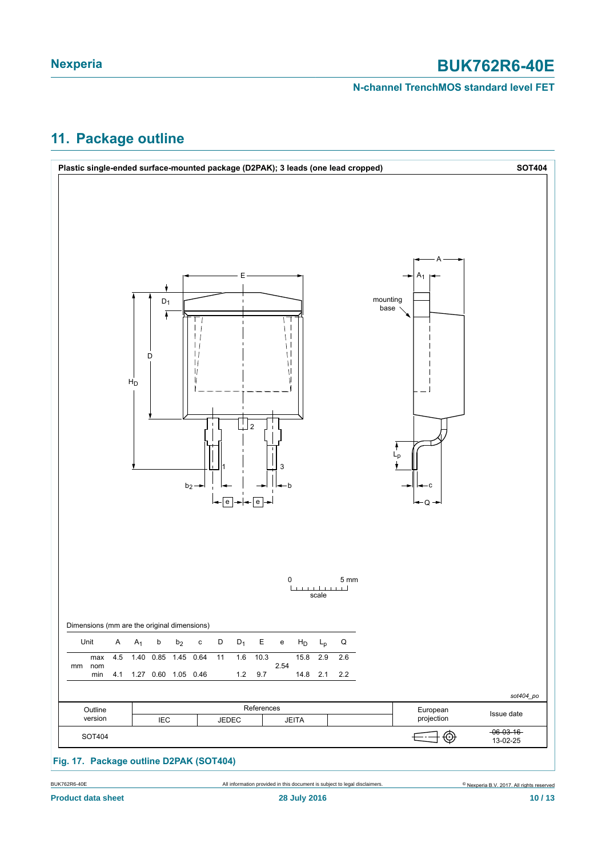#### **N-channel TrenchMOS standard level FET**

### <span id="page-9-0"></span>**11. Package outline**

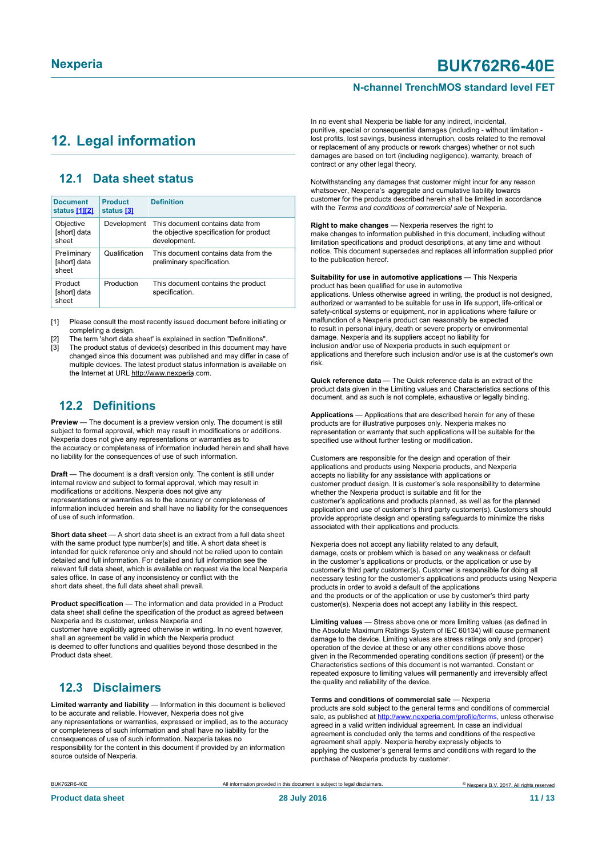#### **N-channel TrenchMOS standard level FET**

#### <span id="page-10-1"></span><span id="page-10-0"></span>**12. Legal information**

#### <span id="page-10-2"></span>**12.1 Data sheet status**

| <b>Document</b><br>status [1][2]     | <b>Product</b><br>status [3] | <b>Definition</b>                                                                           |
|--------------------------------------|------------------------------|---------------------------------------------------------------------------------------------|
| Objective<br>[short] data<br>sheet   | Development                  | This document contains data from<br>the objective specification for product<br>development. |
| Preliminary<br>[short] data<br>sheet | Qualification                | This document contains data from the<br>preliminary specification.                          |
| Product<br>[short] data<br>sheet     | Production                   | This document contains the product<br>specification.                                        |

[1] Please consult the most recently issued document before initiating or completing a design.

[2] The term 'short data sheet' is explained in section "Definitions".

The product status of device(s) described in this document may have changed since this document was published and may differ in case of multiple devices. The latest product status information is available on the Internet at URL http://www.nexperia.com.

#### <span id="page-10-3"></span>**12.2 Definitions**

**Preview** — The document is a preview version only. The document is still subject to formal approval, which may result in modifications or additions. Nexperia does not give any representations or warranties as to the accuracy or completeness of information included herein and shall have no liability for the consequences of use of such information.

**Draft** — The document is a draft version only. The content is still under internal review and subject to formal approval, which may result in modifications or additions. Nexperia does not give any representations or warranties as to the accuracy or completeness of information included herein and shall have no liability for the consequences of use of such information.

**Short data sheet** — A short data sheet is an extract from a full data sheet with the same product type number(s) and title. A short data sheet is intended for quick reference only and should not be relied upon to contain detailed and full information. For detailed and full information see the relevant full data sheet, which is available on request via the local Nexperia sales office. In case of any inconsistency or conflict with the short data sheet, the full data sheet shall prevail.

**Product specification** — The information and data provided in a Product data sheet shall define the specification of the product as agreed between Nexperia and its customer, unless Nexperia and

customer have explicitly agreed otherwise in writing. In no event however, shall an agreement be valid in which the Nexperia product is deemed to offer functions and qualities beyond those described in the Product data sheet.

#### <span id="page-10-4"></span>**12.3 Disclaimers**

**Limited warranty and liability** — Information in this document is believed to be accurate and reliable. However, Nexperia does not give any representations or warranties, expressed or implied, as to the accuracy or completeness of such information and shall have no liability for the consequences of use of such information. Nexperia takes no responsibility for the content in this document if provided by an information source outside of Nexperia.

In no event shall Nexperia be liable for any indirect, incidental, punitive, special or consequential damages (including - without limitation lost profits, lost savings, business interruption, costs related to the removal or replacement of any products or rework charges) whether or not such damages are based on tort (including negligence), warranty, breach of contract or any other legal theory.

Notwithstanding any damages that customer might incur for any reason whatsoever, Nexperia's aggregate and cumulative liability towards customer for the products described herein shall be limited in accordance with the *Terms and conditions of commercial sale* of Nexperia.

**Right to make changes** — Nexperia reserves the right to make changes to information published in this document, including without limitation specifications and product descriptions, at any time and without notice. This document supersedes and replaces all information supplied prior to the publication hereof.

**Suitability for use in automotive applications** — This Nexperia product has been qualified for use in automotive applications. Unless otherwise agreed in writing, the product is not designed, authorized or warranted to be suitable for use in life support, life-critical or safety-critical systems or equipment, nor in applications where failure or malfunction of a Nexperia product can reasonably be expected to result in personal injury, death or severe property or environmental damage. Nexperia and its suppliers accept no liability for inclusion and/or use of Nexperia products in such equipment or applications and therefore such inclusion and/or use is at the customer's own risk.

**Quick reference data** — The Quick reference data is an extract of the product data given in the Limiting values and Characteristics sections of this document, and as such is not complete, exhaustive or legally binding.

**Applications** — Applications that are described herein for any of these products are for illustrative purposes only. Nexperia makes no representation or warranty that such applications will be suitable for the specified use without further testing or modification.

Customers are responsible for the design and operation of their applications and products using Nexperia products, and Nexperia accepts no liability for any assistance with applications or customer product design. It is customer's sole responsibility to determine whether the Nexperia product is suitable and fit for the customer's applications and products planned, as well as for the planned application and use of customer's third party customer(s). Customers should provide appropriate design and operating safeguards to minimize the risks associated with their applications and products.

Nexperia does not accept any liability related to any default, damage, costs or problem which is based on any weakness or default in the customer's applications or products, or the application or use by customer's third party customer(s). Customer is responsible for doing all necessary testing for the customer's applications and products using Nexperia products in order to avoid a default of the applications and the products or of the application or use by customer's third party customer(s). Nexperia does not accept any liability in this respect.

**Limiting values** — Stress above one or more limiting values (as defined in the Absolute Maximum Ratings System of IEC 60134) will cause permanent damage to the device. Limiting values are stress ratings only and (proper) operation of the device at these or any other conditions above those given in the Recommended operating conditions section (if present) or the Characteristics sections of this document is not warranted. Constant or repeated exposure to limiting values will permanently and irreversibly affect the quality and reliability of the device.

#### **Terms and conditions of commercial sale** — Nexperia

products are sold subject to the general terms and conditions of commercial sale, as published at [http://www.nexperia.com/profile/t](http://www.nexperia.com/profile/terms)erms, unless otherwise agreed in a valid written individual agreement. In case an individual agreement is concluded only the terms and conditions of the respective agreement shall apply. Nexperia hereby expressly objects to applying the customer's general terms and conditions with regard to the purchase of Nexperia products by customer.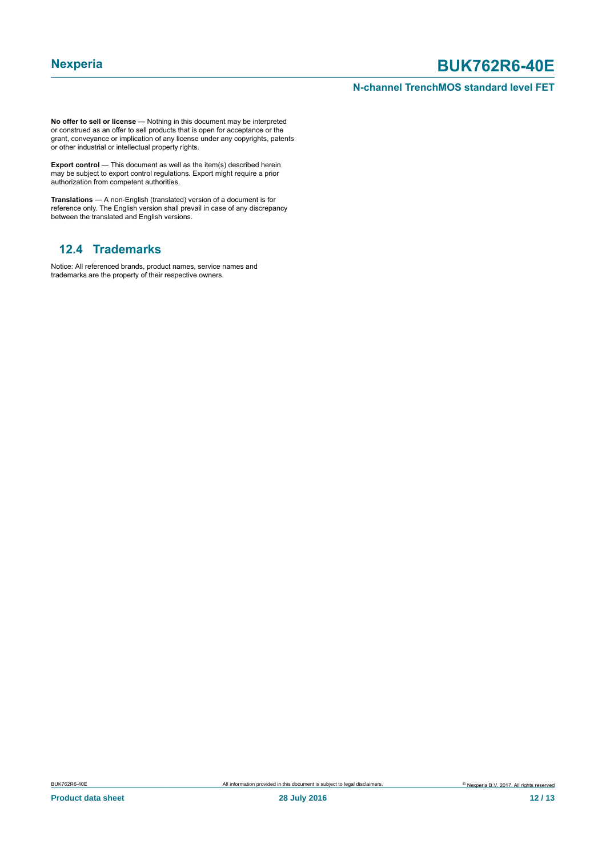#### **N-channel TrenchMOS standard level FET**

**No offer to sell or license** — Nothing in this document may be interpreted or construed as an offer to sell products that is open for acceptance or the grant, conveyance or implication of any license under any copyrights, patents or other industrial or intellectual property rights.

**Export control** — This document as well as the item(s) described herein may be subject to export control regulations. Export might require a prior authorization from competent authorities.

**Translations** — A non-English (translated) version of a document is for reference only. The English version shall prevail in case of any discrepancy between the translated and English versions.

### <span id="page-11-0"></span>**12.4 Trademarks**

Notice: All referenced brands, product names, service names and trademarks are the property of their respective owners.